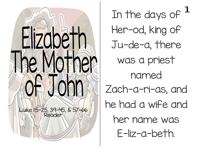

In the days of  $<sup>1</sup>$ </sup> Her-od, king of Ju-de-a, there was a priest named Zach-a-ri-as, and he had a wife and her name was E-liz-a-beth.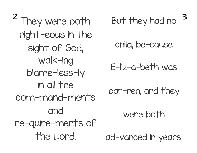<sup>2</sup> They were both right-eous in the sight of God, walk-ing blame-less-ly in all the com-mand-ments and re-quire-ments of the Lord.

But they had no

child, be-cause

E-liz-a-beth was

bar-ren, and they

were both

ad-vanced in years.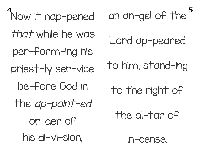Now it hap-pened that while he was per-form-ing his priest-ly ser-vice be-fore God in the ap-point-ed or-der of his di-vi-sion,

an an-gel of the Lord ap-peared to him, stand-ing to the right of the al-tar of

in-cense.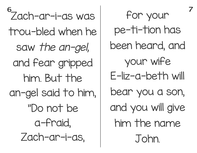Zach-ar-i-as was trou-bled when he saw the an-gel, and fear gripped him. But the an-gel said to him, "Do not be a-fraid, Zach-ar-i-as,

for your pe-ti-tion has been heard, and your wife E-liz-a-beth will bear you a son, and you will give him the name John.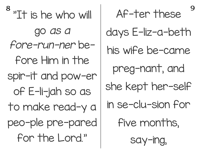<sup>8</sup> "It is he who will go as <sup>a</sup> fore-run-ner before Him in the spir-it and pow-er of E-li-jah so as to make read-y a peo-ple pre-pared for the Lord."

Af-ter these days E-liz-a-beth his wife be-came preg-nant, and she kept her-self in se-clu-sion for five months, say-ing,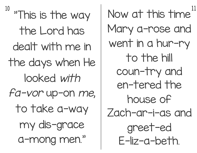10 "This is the way the Lord has dealt with me in the days when He looked with fa-vor up-on me, to take a-way my dis-grace a-mong men."

Now at this time  $^{11}$ Mary a-rose and went in a hur-ry to the hill coun-try and en-tered the house of Zach-ar-i-as and greet-ed E-liz-a-beth.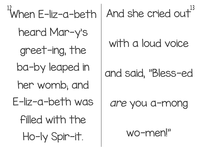When E-liz-a-beth heard Mar-y's greet-ing, the ba-by leaped in her womb; and E-liz-a-beth was filled with the Ho-ly Spir-it.

And she cried out<sup>13</sup>

## with a loud voice

### and said, "Bless-ed

#### are you a-mong

wo-men!"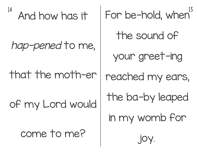14

And how has it

hap-pened to me,

that the moth-er

of my Lord would

come to me?

For be-hold, when the sound of your greet-ing reached my ears, the ba-by leaped in my womb for joy.